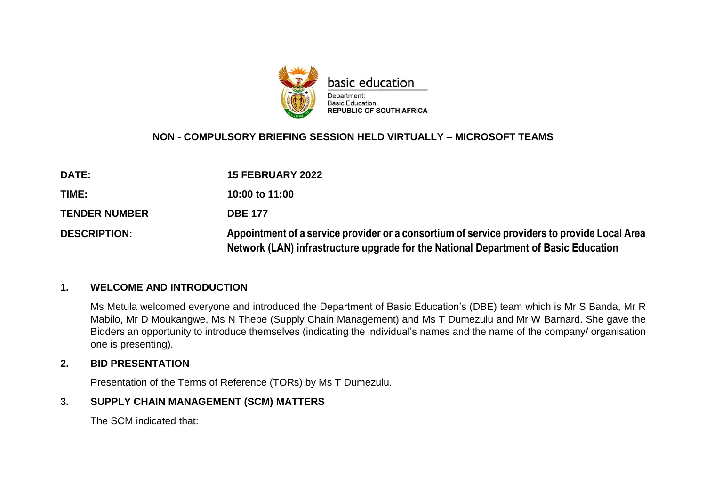

#### **NON - COMPULSORY BRIEFING SESSION HELD VIRTUALLY – MICROSOFT TEAMS**

| DATE:                | <b>15 FEBRUARY 2022</b>                                                                                                                                                             |
|----------------------|-------------------------------------------------------------------------------------------------------------------------------------------------------------------------------------|
| TIME:                | 10:00 to 11:00                                                                                                                                                                      |
| <b>TENDER NUMBER</b> | <b>DBE 177</b>                                                                                                                                                                      |
| <b>DESCRIPTION:</b>  | Appointment of a service provider or a consortium of service providers to provide Local Area<br>Network (LAN) infrastructure upgrade for the National Department of Basic Education |

#### **1. WELCOME AND INTRODUCTION**

Ms Metula welcomed everyone and introduced the Department of Basic Education's (DBE) team which is Mr S Banda, Mr R Mabilo, Mr D Moukangwe, Ms N Thebe (Supply Chain Management) and Ms T Dumezulu and Mr W Barnard. She gave the Bidders an opportunity to introduce themselves (indicating the individual's names and the name of the company/ organisation one is presenting).

#### **2. BID PRESENTATION**

Presentation of the Terms of Reference (TORs) by Ms T Dumezulu.

#### **3. SUPPLY CHAIN MANAGEMENT (SCM) MATTERS**

The SCM indicated that: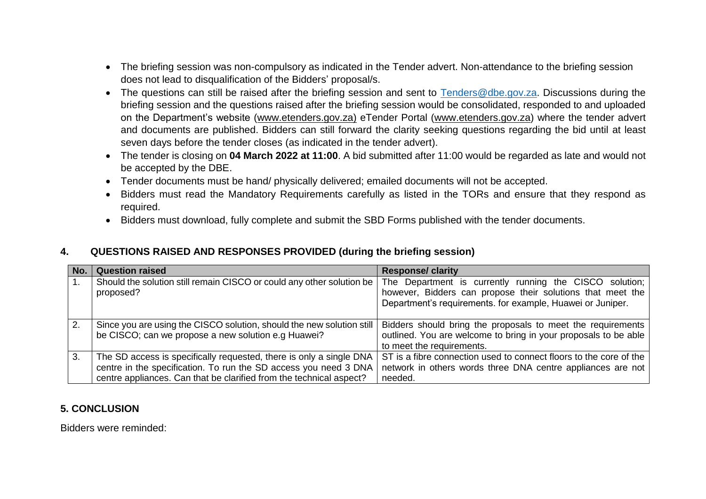- The briefing session was non-compulsory as indicated in the Tender advert. Non-attendance to the briefing session does not lead to disqualification of the Bidders' proposal/s.
- The questions can still be raised after the briefing session and sent to [Tenders@dbe.gov.za.](mailto:Tenders@dbe.gov.za) Discussions during the briefing session and the questions raised after the briefing session would be consolidated, responded to and uploaded on the Department's website [\(www.etenders.gov.za\)](http://www.etenders.gov.za/) eTender Portal [\(www.etenders.gov.za\)](http://www.etenders.gov.za/) where the tender advert and documents are published. Bidders can still forward the clarity seeking questions regarding the bid until at least seven days before the tender closes (as indicated in the tender advert).
- The tender is closing on **04 March 2022 at 11:00**. A bid submitted after 11:00 would be regarded as late and would not be accepted by the DBE.
- Tender documents must be hand/ physically delivered; emailed documents will not be accepted.
- Bidders must read the Mandatory Requirements carefully as listed in the TORs and ensure that they respond as required.
- Bidders must download, fully complete and submit the SBD Forms published with the tender documents.

## **4. QUESTIONS RAISED AND RESPONSES PROVIDED (during the briefing session)**

| No. | <b>Question raised</b>                                                                                                                                                                                         | <b>Response/ clarity</b>                                                                                                                                                            |
|-----|----------------------------------------------------------------------------------------------------------------------------------------------------------------------------------------------------------------|-------------------------------------------------------------------------------------------------------------------------------------------------------------------------------------|
| 1.  | Should the solution still remain CISCO or could any other solution be<br>proposed?                                                                                                                             | The Department is currently running the CISCO solution;<br>however, Bidders can propose their solutions that meet the<br>Department's requirements. for example, Huawei or Juniper. |
| 2.  | Since you are using the CISCO solution, should the new solution still<br>be CISCO; can we propose a new solution e.g Huawei?                                                                                   | Bidders should bring the proposals to meet the requirements<br>outlined. You are welcome to bring in your proposals to be able<br>to meet the requirements.                         |
| 3.  | The SD access is specifically requested, there is only a single DNA<br>centre in the specification. To run the SD access you need 3 DNA<br>centre appliances. Can that be clarified from the technical aspect? | ST is a fibre connection used to connect floors to the core of the<br>network in others words three DNA centre appliances are not<br>needed.                                        |

## **5. CONCLUSION**

Bidders were reminded: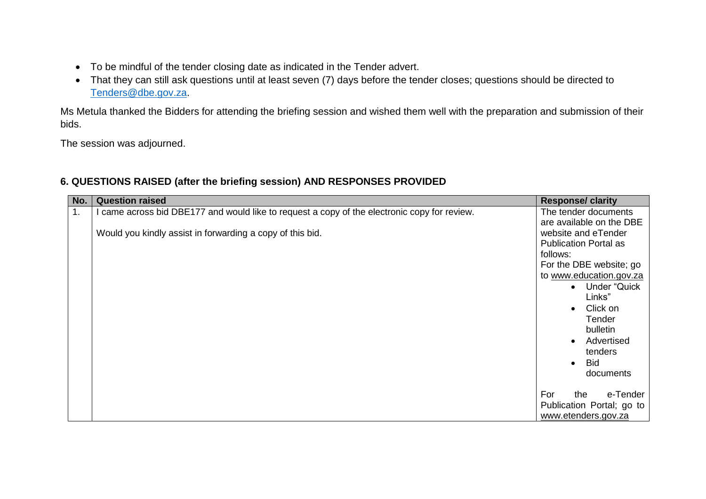- To be mindful of the tender closing date as indicated in the Tender advert.
- That they can still ask questions until at least seven (7) days before the tender closes; questions should be directed to [Tenders@dbe.gov.za.](mailto:Tenders@dbe.gov.za)

Ms Metula thanked the Bidders for attending the briefing session and wished them well with the preparation and submission of their bids.

The session was adjourned.

| No. | <b>Question raised</b>                                                                                                                                  | <b>Response/ clarity</b>                                                                                                                                                                                                                                                                                            |
|-----|---------------------------------------------------------------------------------------------------------------------------------------------------------|---------------------------------------------------------------------------------------------------------------------------------------------------------------------------------------------------------------------------------------------------------------------------------------------------------------------|
| 1.  | came across bid DBE177 and would like to request a copy of the electronic copy for review.<br>Would you kindly assist in forwarding a copy of this bid. | The tender documents<br>are available on the DBE<br>website and eTender<br><b>Publication Portal as</b><br>follows:<br>For the DBE website; go<br>to www.education.gov.za<br>Under "Quick<br>$\bullet$<br>Links"<br>Click on<br>Tender<br>bulletin<br>Advertised<br>tenders<br><b>Bid</b><br>$\bullet$<br>documents |
|     |                                                                                                                                                         | For<br>e-Tender<br>the<br>Publication Portal; go to<br>www.etenders.gov.za                                                                                                                                                                                                                                          |

## **6. QUESTIONS RAISED (after the briefing session) AND RESPONSES PROVIDED**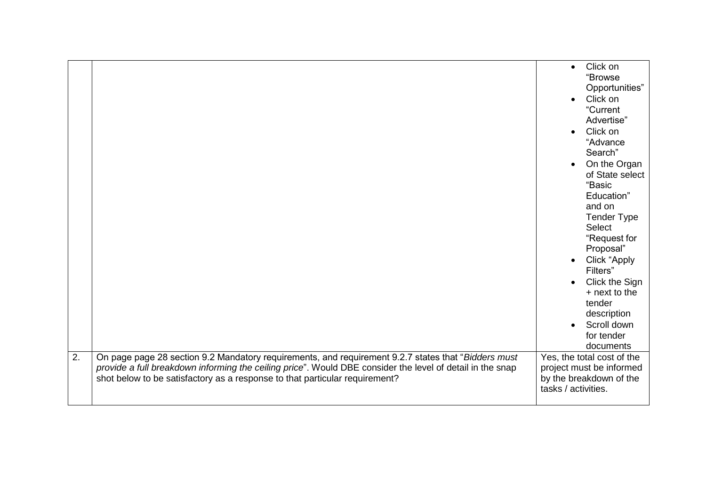| $\overline{2}$ . |                                                                                                                                                                                                                                                                                                 | Click on<br>$\bullet$<br>"Browse<br>Opportunities"<br>Click on<br>$\bullet$<br>"Current<br>Advertise"<br>Click on<br>$\bullet$<br>"Advance<br>Search"<br>On the Organ<br>of State select<br>"Basic<br>Education"<br>and on<br><b>Tender Type</b><br><b>Select</b><br>"Request for<br>Proposal"<br>Click "Apply<br>$\bullet$<br>Filters"<br>Click the Sign<br>+ next to the<br>tender<br>description<br>Scroll down<br>$\bullet$<br>for tender<br>documents<br>Yes, the total cost of the |
|------------------|-------------------------------------------------------------------------------------------------------------------------------------------------------------------------------------------------------------------------------------------------------------------------------------------------|------------------------------------------------------------------------------------------------------------------------------------------------------------------------------------------------------------------------------------------------------------------------------------------------------------------------------------------------------------------------------------------------------------------------------------------------------------------------------------------|
|                  | On page page 28 section 9.2 Mandatory requirements, and requirement 9.2.7 states that "Bidders must<br>provide a full breakdown informing the ceiling price". Would DBE consider the level of detail in the snap<br>shot below to be satisfactory as a response to that particular requirement? | project must be informed<br>by the breakdown of the<br>tasks / activities.                                                                                                                                                                                                                                                                                                                                                                                                               |